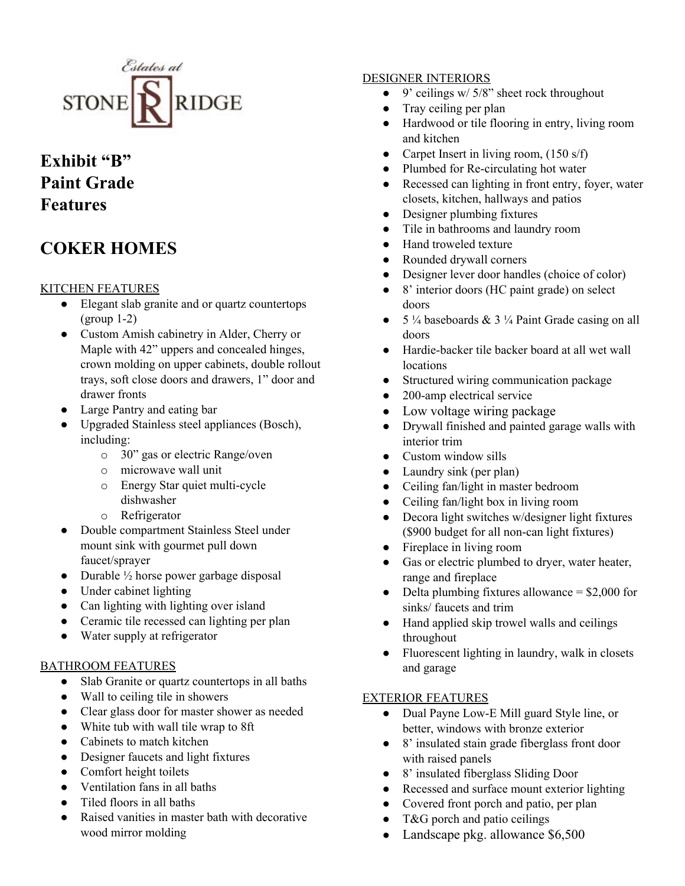

## **Exhibit "B" Paint Grade Features**

# **COKER HOMES**

## KITCHEN FEATURES

- Elegant slab granite and or quartz countertops (group 1-2)
- Custom Amish cabinetry in Alder, Cherry or Maple with 42" uppers and concealed hinges, crown molding on upper cabinets, double rollout trays, soft close doors and drawers, 1" door and drawer fronts
- Large Pantry and eating bar
- Upgraded Stainless steel appliances (Bosch), including:
	- o 30" gas or electric Range/oven
	- o microwave wall unit
	- o Energy Star quiet multi-cycle dishwasher
	- o Refrigerator
- Double compartment Stainless Steel under mount sink with gourmet pull down faucet/sprayer
- Durable  $\frac{1}{2}$  horse power garbage disposal
- Under cabinet lighting
- Can lighting with lighting over island
- Ceramic tile recessed can lighting per plan
- Water supply at refrigerator

#### BATHROOM FEATURES

- Slab Granite or quartz countertops in all baths
- Wall to ceiling tile in showers
- Clear glass door for master shower as needed
- White tub with wall tile wrap to 8ft
- Cabinets to match kitchen
- Designer faucets and light fixtures
- Comfort height toilets
- Ventilation fans in all baths
- Tiled floors in all baths
- Raised vanities in master bath with decorative wood mirror molding

## DESIGNER INTERIORS

- $\bullet$  9' ceilings w/ 5/8" sheet rock throughout
- Tray ceiling per plan
- Hardwood or tile flooring in entry, living room and kitchen
- Carpet Insert in living room, (150 s/f)
- Plumbed for Re-circulating hot water
- Recessed can lighting in front entry, foyer, water closets, kitchen, hallways and patios
- Designer plumbing fixtures
- Tile in bathrooms and laundry room
- Hand troweled texture
- Rounded drywall corners
- Designer lever door handles (choice of color)
- 8' interior doors (HC paint grade) on select doors
- 5  $\frac{1}{4}$  baseboards & 3  $\frac{1}{4}$  Paint Grade casing on all doors
- Hardie-backer tile backer board at all wet wall locations
- Structured wiring communication package
- 200-amp electrical service
- Low voltage wiring package
- Drywall finished and painted garage walls with interior trim
- Custom window sills
- Laundry sink (per plan)
- Ceiling fan/light in master bedroom
- Ceiling fan/light box in living room
- Decora light switches w/designer light fixtures (\$900 budget for all non-can light fixtures)
- Fireplace in living room
- Gas or electric plumbed to dryer, water heater, range and fireplace
- Delta plumbing fixtures allowance  $= $2,000$  for sinks/ faucets and trim
- Hand applied skip trowel walls and ceilings throughout
- Fluorescent lighting in laundry, walk in closets and garage

#### EXTERIOR FEATURES

- Dual Payne Low-E Mill guard Style line, or better, windows with bronze exterior
- 8' insulated stain grade fiberglass front door with raised panels
- 8' insulated fiberglass Sliding Door
- Recessed and surface mount exterior lighting
- Covered front porch and patio, per plan
- $\bullet$  T&G porch and patio ceilings
- Landscape pkg. allowance \$6,500